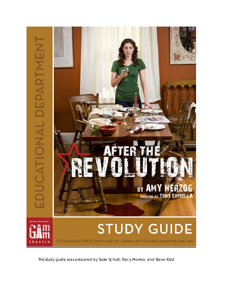

*This study guide was prepared by Susie Schutt, Tracy Morreo, and Steve Kidd*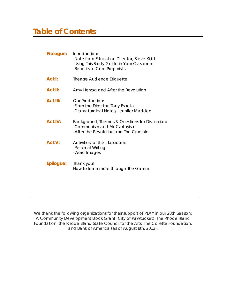## **Table of Contents**

| Prologue:       | Introduction:<br>-Note from Education Director, Steve Kidd<br>-Using This Study Guide in Your Classroom<br>-Benefits of Core Prep visits |
|-----------------|------------------------------------------------------------------------------------------------------------------------------------------|
| Act I:          | Theatre Audience Etiquette                                                                                                               |
| Act II:         | Amy Herzog and After the Revolution                                                                                                      |
| <b>Act III:</b> | Our Production:<br>-From the Director, Tony Estrella<br>-Dramaturgical Notes, Jennifer Madden                                            |
| <b>Act IV:</b>  | Background, Themes & Questions for Discussion:<br>-Communism and McCarthyism<br>-After the Revolution and The Crucible                   |
| <b>Act V:</b>   | Activities for the classroom:<br>-Personal Writing<br>-Word Images                                                                       |
| Epilogue:       | Thank you!<br>How to learn more through The Gamm                                                                                         |

*We thank the following organizations for their support of PLAY in our 28th Season: A Community Development Block Grant (City of Pawtucket), The Rhode Island Foundation, the Rhode Island State Council for the Arts, The Collette Foundation, and Bank of America (as of August 8th, 2012).*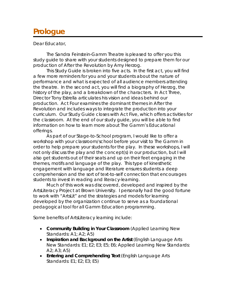## **Prologue**

Dear Educator,

The Sandra Feinstein-Gamm Theatre is pleased to offer you this study guide to share with your students designed to prepare them for our production of *After the Revolution* by Amy Herzog.

This Study Guide is broken into five acts. In the first act, you will find a few more reminders for you and your students about the nature of performance and what is expected of all audience members attending the theatre. In the second act, you will find a biography of Herzog, the history of the play, and a breakdown of the characters. In Act Three, Director Tony Estrella articulates his vision and ideas behind our production. Act Four examines the dominant themes in *After the Revolution* and includes ways to integrate the production into your curriculum. Our Study Guide closes with Act Five, which offers activities for the classroom. At the end of our study guide, you will be able to find information on how to learn more about The Gamm's Educational offerings.

As part of our Stage-to-School program, I would like to offer a workshop with your classroom/school before your visit to The Gamm in order to help prepare your students for the play. In these workshops, I will not only discuss the play and the concept(s) in our production, but I will also get students out of their seats and up on their feet engaging in the themes, motifs and language of the play. This type of kinesthetic engagement with language and literature ensures students a deep comprehension and the sort of text-to-self connection that encourages students to invest in reading and literacy-learning.

Much of this work was discovered, developed and inspired by the ArtsLiteracy Project at Brown University. I personally had the good fortune to work with "ArtsLit" and the strategies and models for learning developed by the organization continue to serve as a foundational pedagogical tool for all Gamm Education programming.

Some benefits of ArtsLiteracy learning include:

- **Community Building in Your Classroom** (Applied Learning New Standards: A1; A2; A5)
- **Inspiration and Background on the Artist** (English Language Arts New Standards: E1; E2; E3; E5; E6; Applied Learning New Standards: A2; A3; A5)
- **Entering and Comprehending Text** (English Language Arts Standards: E1; E2; E3; E5)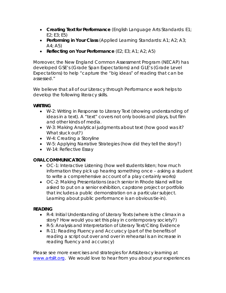- **Creating Text for Performance** (English Language Arts Standards: E1;  $E2; E3; E5)$
- **Performing in Your Class** (Applied Learning Standards: A1; A2; A3;  $A_1$ ; A5)
- **Reflecting on Your Performance** (E2; E3; A1; A2; A5)

Moreover, the New England Common Assessment Program (NECAP) has developed GSE's (Grade Span Expectations) and GLE's (Grade Level Expectations) to help "capture the "big ideas" of reading that can be assessed."

We believe that all of our Literacy through Performance work helps to develop the following literacy skills.

### **WRITING**

- W-2: Writing in Response to Literary Text (showing understanding of ideas in a text). A "text" covers not only books and plays, but film and other kinds of media.
- W-3: Making Analytical judgments about text (how good was it? What stuck out?)
- W-4: Creating a Storyline
- W-5: Applying Narrative Strategies (how did they tell the story?)
- W-14: Reflective Essay

## **ORAL COMMUNICATION**

- OC-1: Interactive Listening (how well students listen; how much information they pick up hearing something once – asking a student to write a comprehensive account of a play certainly works)
- OC-2: Making Presentations (each senior in Rhode Island will be asked to put on a senior exhibition, capstone project or portfolio that includes a public demonstration on a particular subject. Learning about public performance is an obvious tie-in).

## **READING**

- R-4: Initial Understanding of Literary Texts (where is the climax in a story? How would you set this play in contemporary society?)
- R-5: Analysis and Interpretation of Literary Text/Citing Evidence
- R-11: Reading Fluency and Accuracy (part of the benefits of reading a script out over and over in rehearsal is an increase in reading fluency and accuracy)

Please see more exercises and strategies for ArtsLiteracy learning at www.artslit.org. We would love to hear from you about your experiences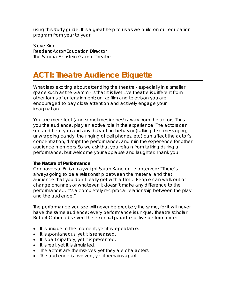using this study guide. It is a great help to us as we build on our education program from year to year.

Steve Kidd Resident Actor/Education Director The Sandra Feinstein-Gamm Theatre

# **ACT I: Theatre Audience Etiquette**

What is so exciting about attending the theatre - especially in a smaller space such as the Gamm - is that it is live! Live theatre is different from other forms of entertainment; unlike film and television you are encouraged to pay close attention and actively engage your imagination.

You are mere feet (and sometimes inches!) away from the actors. Thus, you the audience, play an active role in the experience. The actors can see and hear you and any distracting behavior (talking, text messaging, unwrapping candy, the ringing of cell phones, etc) can affect the actor's concentration, disrupt the performance, and ruin the experience for other audience members. So we ask that you refrain from talking during a performance, but welcome your applause and laughter. Thank you!

## **The Nature of Performance**

Controversial British playwright Sarah Kane once observed: "There's always going to be a relationship between the material and that audience that you don't really get with a film… People can walk out or change channels or whatever; it doesn't make any difference to the performance… It's a completely reciprocal relationship between the play and the audience."

The performance you see will never be precisely the same, for it will never have the same audience; every performance is unique. Theatre scholar Robert Cohen observed the essential paradox of live performance:

- It is unique to the moment, yet it is repeatable.
- It is spontaneous, yet it is rehearsed.
- It is participatory, yet it is presented.
- It is real, yet it is simulated.
- The actors are themselves, yet they are characters.
- The audience is involved, yet it remains apart.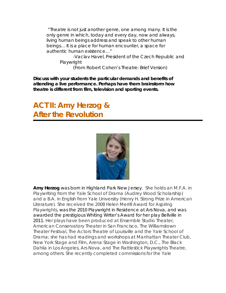"Theatre is not just another genre, one among many. It is the only genre in which, today and every day, now and always, living human beings address and speak to other human beings… It is a place for human encounter, a space for authentic human existence…"

-Vaclav Havel, President of the Czech Republic and Playwright (From Robert Cohen's *Theatre: Brief Version*)

**Discuss with your students the particular demands and benefits of attending a live performance. Perhaps have them brainstorm how theatre is different from film, television and sporting events.** 

## **ACT II: Amy Herzog &**  *After the Revolution*



**Amy Herzog** was born in Highland Park New Jersey. She holds an M.F.A. in Playwriting from the Yale School of Drama (Audrey Wood Scholarship) and a B.A. in English from Yale University (Henry H. Strong Prize in American Literature). She received the 2008 Helen Merrill Award for Aspiring Playwrights, was the 2010 Playwright in Residence at Ars Nova, and was awarded the prestigious Whiting Writer's Award for her play *Bellville* in 2011. Her plays have been produced at Ensemble Studio Theater, American Conservatory Theater in San Francisco, The Williamstown Theater Festival, The Actors Theatre of Louisville and the Yale School of Drama; she has had readings and workshops at Manhattan Theater Club, New York Stage and Film, Arena Stage in Washington, D.C., The Black Dahlia in Los Angeles, Ars Nova, and The Rattlestick Playwrights Theatre, among others. She recently completed commissions for the Yale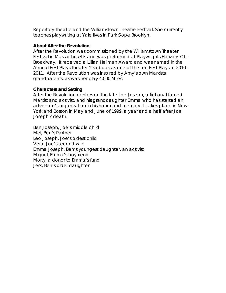Repertory Theatre and the Williamstown Theatre Festival. She currently teaches playwriting at Yale lives in Park Slope Brooklyn.

#### **About** *After the Revolution***:**

*After the Revolution* was commissioned by the Williamstown Theater Festival in Massachusetts and was performed at Playwrights Horizons Off-Broadway. It received a Lillian Hellman Award and was named in the Annual Best Plays Theater Yearbook as one of the ten Best Plays of 2010- 2011. *After the Revolution* was inspired by Amy's own Marxists grandparents, as was her play *4,000 Miles.* 

### **Characters and Setting**

*After the Revolution* centers on the late Joe Joseph, a fictional famed Marxist and activist, and his granddaughter Emma who has started an advocate's organization in his honor and memory. It takes place in New York and Boston in May and June of 1999, a year and a half after Joe Joseph's death.

*Ben Joseph*, Joe's middle child *Mel*, Ben's Partner *Leo Joseph*, Joe's oldest child *Vera*, Joe's second wife *Emma Joseph*, Ben's youngest daughter, an activist *Miguel*, Emma's boyfriend *Morty*, a donor to Emma's fund *Jess*, Ben's older daughter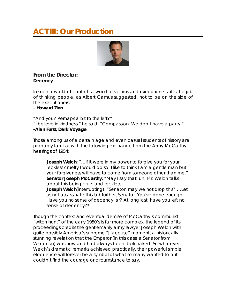## **ACT III: Our Production**



## **From the Director: Decency**

*In such a world of conflict, a world of victims and executioners, it is the job of thinking people, as Albert Camus suggested, not to be on the side of the executioners.*

**- Howard Zinn** 

*"And you? Perhaps a bit to the left?" "I believe in kindness," he said. "Compassion. We don't have a party."*  **-Alan Furst,** *Dark Voyage*

Those among us of a certain age and even casual students of history are probably familiar with the following exchange from the Army-McCarthy hearings of 1954:

*Joseph Welch: "…If it were in my power to forgive you for your reckless cruelty I would do so. I like to think I am a gentle man but your forgiveness will have to come from someone other than me." Senator Joseph McCarthy: "May I say that, uh, Mr. Welch talks about this being cruel and reckless—"* 

*Joseph Welch(interrupting): "Senator, may we not drop this? …Let us not assassinate this lad further, Senator. You've done enough. Have you no sense of decency, sir? At long last, have you left no sense of decency?\**

Though the context and eventual demise of McCarthy's communist "witch hunt" of the early 1950's is far more complex, the legend of its proceedings credits the gentlemanly army lawyer Joseph Welch with quite possibly America's supreme "J'accuse" moment, a historically stunning revelation that the Emperor (in this case a Senator from Wisconsin) was now and had always been stark naked. So whatever Welch's dramatic remarks achieved practically, their powerful simple eloquence will forever be a symbol of what so many wanted to but couldn't find the courage or circumstance to say.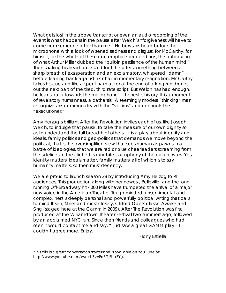What gets lost in the above transcript or even an audio recording of the event is what happens in the pause after Welch's "forgiveness will have to come from someone other than me." He bows his head before the microphone with a look of wizened sadness and disgust, for McCarthy, for himself, for the whole of these contemptible proceedings, the outpouring of what Arthur Miller dubbed the "built-in pestilence of the human mind." Then shaking his head back and forth he utters something between a sharp breath of exasperation and an exclamatory, whispered "damn" before leaning back against his chair in *momentary* resignation. McCarthy takes his cue and like a spent ham actor at the end of a long run drones out the next part of the tired, third rate script. But Welch has had enough, he leans back towards the microphone… the rest is history. It is a moment of revelatory humanness, a *catharsis*. A seemingly modest "thinking" man recognizes his commonality with the "victims" and confronts the "executioner."

Amy Herzog's brilliant *After the Revolution* invites each of us, like Joseph Welch, to indulge that pause, to take the measure of our own dignity so as to understand the full breadth of others'. It is a play about identity and ideals, family politics and geo-politics that demands we move beyond the *political,* that is the oversimplified view that sees human as pawns in a battle of ideologies, that we are red or blue cheerleaders screaming from the sidelines to the clichéd, soundbite cacophony of the culture wars. Yes, identity matters, ideals matter, family matters, all of which is to say humanity matters, so then must decency.

We are proud to launch season 28 by introducing Amy Herzog to RI audiences. This production along with her newest, *Belleville,* and the long running Off-Broadway hit *4000 Miles* have trumpeted the arrival of a major new voice in the American Theatre. Tough-minded, unsentimental and complex, hers is deeply personal and powerfully political writing that calls to mind Ibsen, Miller and most closely, Clifford Odets classic *Awake and Sing* (staged here at the Gamm in 2009). *After The Revolution* was first produced at the Williamstown Theater Festival two summers ago, followed by an acclaimed NYC run. Since then friends and colleagues who had seen it would contact me and say, "I just saw a great GAMM play." I couldn't agree more. Enjoy.

-Tony Estrella

**\***This clip is a great conversation starter and is available on You Tube at http://www.youtube.com/watch?v=Po5GlFba5Yg.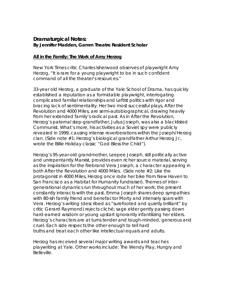## **Dramaturgical Notes: By Jennifer Madden,** *Gamm Theatre Resident Scholar*

#### **All in the Family: The Work of Amy Herzog**

*New York Times* critic Charles Isherwood observes of playwright Amy Herzog, "It is rare for a young playwright to be in such confident command of all the theater's resources."

33-year old Herzog, a graduate of the Yale School of Drama, has quickly established a reputation as a formidable playwright, interrogating complicated familial relationships and Leftist politics with rigor and bracing lack of sentimentality. Her two most successful plays*, After the Revolution* and *4000 Miles*, are semi-autobiographical, drawing heavily from her extended family's radical past. As in *After the Revolution*, Herzog's paternal step-grandfather, Julius Joseph, was also a blacklisted Communist. What's more, his activities as a Soviet spy were publicly revealed in 1999, causing intense reverberations within the Joseph/Herzog clan. (Side note #1: Herzog's biological grandfather Arthur Herzog Jr., wrote the Billie Holiday classic "God Bless the Child").

Herzog's 95-year-old grandmother, Leepee Joseph, still politically active and unrepentantly Marxist, provides even richer source material, serving as the inspiration for the firebrand Vera Joseph, a character appearing in both *After the Revolution* and *4000 Miles*. (Side note #2: Like the protagonist in *4000 Miles*, Herzog once rode her bike from New Haven to San Francisco as a Habitat for Humanity fundraiser). Themes of intergenerational dynamics run throughout much of her work; the present constantly interacts with the past. Emma Joseph shares deep sympathies with 80-ish family friend and benefactor Morty and intensely spars with Vera. Herzog's writing (described as "surefooted and quietly brilliant" by critic Gerard Raymond) rejects cliché; sage elder gently passing down hard-earned wisdom or young upstart ignorantly infantilizing her elders. Herzog's characters are at turns tender and tough-minded, generous and cruel. Each side respects the other enough to tell hard truths and treat each other like intellectual equals and adults.

Herzog has received several major writing awards and teaches playwriting at Yale. Other works include: The Wendy Play, Hungry and Belleville.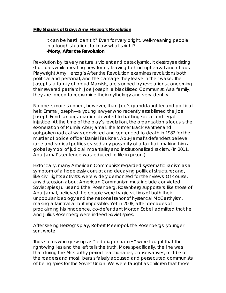#### **Fifty Shades of Gray: Amy Herzog's Revolution**

*It can be hard, can't it? Even for very bright, well-meaning people. In a tough situation, to know what's right?*  -**Morty,** *After the Revolution*

Revolution by its very nature is violent and cataclysmic. It destroys existing structures while creating new forms, leaving behind upheaval and chaos. Playwright Amy Herzog's *After the Revolution* examines revolutions both political and personal, and the carnage they leave in their wake. The Josephs, a family of proud Marxists, are stunned by revelations concerning their revered patriarch, Joe Joseph, a blacklisted Communist. As a family, they are forced to reexamine their mythology and very identity.

No one is more stunned, however, than Joe's granddaughter and political heir, Emma Joseph—a young lawyer who recently established the Joe Joseph Fund, an organization devoted to battling social and legal injustice. At the time of the play's revelation, the organization's focus is the exoneration of Mumia Abu-Jamal. The former Black Panther and outspoken radical was convicted and sentenced to death in 1982 for the murder of police officer Daniel Faulkner. Abu-Jamal's defenders believe race and radical politics erased any possibility of a fair trail, making him a global symbol of judicial impartiality and institutionalized racism. (In 2011, Abu-Jamal's sentence was reduced to life in prison.)

Historically, many American Communists regarded systematic racism as a symptom of a hopelessly corrupt and decaying political structure; and, like civil rights activists, were widely demonized for their views. Of course, any discussion about American Communism must include convicted Soviet spies Julius and Ethel Rosenberg. Rosenberg supporters, like those of Abu-Jamal, believed the couple were tragic victims of both their unpopular ideology and the national tenor of hysterical McCarthyism, making a fair trial all but impossible. Yet in 2008, after decades of proclaiming his innocence, co-defendant Morton Sobell admitted that he and Julius Rosenberg were indeed Soviet spies.

After seeing Herzog's play, Robert Meeropol, the Rosenbergs' younger son, wrote:

Those of us who grew up as "red diaper babies" were taught that the right-wing lies and the left tells the truth. More specifically, the line was that during the McCarthy period reactionaries, conservatives, middle of the roaders and most liberals falsely accused and persecuted communists of being spies for the Soviet Union. We were taught as children that those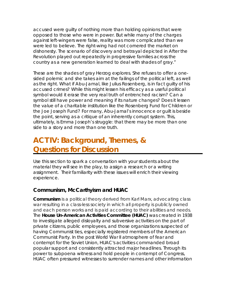accused were guilty of nothing more than holding opinions that were opposed to those who were in power. But while many of the charges against left-wingers were false, reality was more complicated than we were led to believe. The right-wing had not cornered the market on dishonesty. The scenario of discovery and betrayal depicted in *After the Revolution* played out repeatedly in progressive families across the country as a new generation learned to deal with shades of gray."

These are the shades of gray Herzog explores. She refuses to offer a onesided polemic and she takes aim at the failings of the political left, as well as the right. What if Abu-Jamal, like Julius Rosenberg, is in fact guilty of his accused crimes? While this might lessen his efficacy as a useful political symbol would it erase the very real truth of entrenched racism? Can a symbol still have power and meaning if its nature changes? Does it lessen the value of a charitable institution like the Rosenberg Fund for Children or the Joe Joseph Fund? For many, Abu-Jamal's innocence or guilt is beside the point, serving as a critique of an inherently corrupt system. This, ultimately, is Emma Joseph's struggle: that there may be more than one side to a story and more than one truth.

## **ACT IV: Background, Themes, & Questions for Discussion**

Use this section to spark a conversation with your students about the material they will see in the play, to assign a research or a writing assignment. Their familiarity with these issues will enrich their viewing experience.

## **Communism, McCarthyism and HUAC**

**Communism** is a political theory derived from Karl Marx, advocating class war resulting in a class-less society in which all property is publicly owned and each person works and is paid according to their abilities and needs. The **House Un-American Activities Committee (HUAC)** was created in 1938 to investigate alleged disloyalty and subversive activities on the part of private citizens, public employees, and those organizations suspected of having Communist ties, especially registered members of the American Communist Party. In the post World War II atmosphere of fear and contempt for the Soviet Union, HUAC's activities commanded broad popular support and consistently attracted major headlines. Through its power to subpoena witness and hold people in contempt of Congress, HUAC often pressured witnesses to surrender names and other information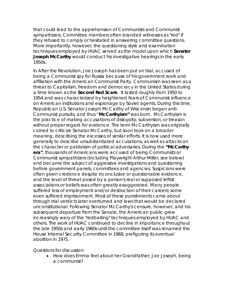that could lead to the apprehension of Communists and Communist sympathizers. Committee members often branded witnesses as "red" if they refused to comply or hesitated in answering committee questions. More importantly, however, the questioning style and examination techniques employed by HUAC served as the model upon which **Senator Joseph McCarthy** would conduct his investigative hearings in the early 1950s.

In *After the Revolution,* Joe Joseph has been put on trial, accused of being a Communist spy for Russia because of his government work and affiliation with the American Communist Party. Communism was seen as a threat to Capitalism, freedom and democracy in the United States during a time known as the *Second Red Scare*. It lasted roughly from 1950 to 1954 and was characterized by heightened fears of Communist influence on American institutions and espionage by Soviet agents. During this time, Republican U.S. Senator Joseph McCarthy of Wisconsin began anti-Communist pursuits, and thus "**McCarthyism"** was born. McCarthyism is the practice of making accusations of disloyalty, subversion, or treason without proper regard for evidence. The term McCarthyism was originally coined to criticize Senator McCarthy, but soon took on a broader meaning, describing the excesses of similar efforts. It is now used more generally to describe unsubstantiated accusations, as well as attacks on the character or patriotism of political adversaries. During the **"McCarthy era"**, thousands of Americans were accused of being Communists or Communist sympathizers (*Including Playwright Arthur Miller, see below*) and became the subject of aggressive investigations and questioning before government panels, committees and agencies. Suspicions were often given credence despite inconclusive or questionable evidence, and the level of threat posed by a person's real or supposed leftist associations or beliefs was often greatly exaggerated. Many people suffered loss of employment and/or destruction of their careers; some even suffered imprisonment. Most of these punishments came about through trial verdicts later overturned and laws that would be declared unconstitutional. Following Senator McCarthy's censure, however, and his subsequent departure from the Senate, the American public grew increasingly wary of the "redbaiting" techniques employed by HUAC and others. The work of HUAC continued to decline in importance throughout the late 1950s and early 1960s until the committee itself was renamed the House Internal Security Committee in 1969, prefiguring its eventual abolition in 1975.

#### *Questions for discussion:*

• *How does Emma feel about her Grandfather, Joe Joseph, being a communist?*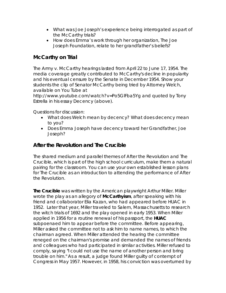- *What was Joe Joseph's experience being interrogated as part of the McCarthy trials?*
- *How does Emma's work through her organization, The Joe Joseph Foundation, relate to her grandfather's beliefs?*

## **McCarthy on Trial**

The Army v. McCarthy hearings lasted from April 22 to June 17, 1954. The media coverage greatly contributed to McCarthy's decline in popularity and his eventual censure by the Senate in December 1954. Show your students the clip of Senator McCarthy being tried by Attorney Welch, available on You Tube at

http://www.youtube.com/watch?v=Po5GlFba5Yg and quoted by Tony Estrella in his essay *Decency* (above).

### *Questions for discussion:*

- *What does Welch mean by decency? What does decency mean to you?*
- *Does Emma Joseph have decency toward her Grandfather, Joe Joseph?*

## *After the Revolution* **and** *The Crucible*

The shared medium and parallel themes of *After the Revolution* and *The Crucible*, which is part of the high school curriculum, make them a natural pairing for the classroom. You can use your own established lesson plans for *The Crucible* as an introduction to attending the performance of *After the Revolution*.

*The Crucible* was written by the American playwright Arthur Miller. Miller wrote the play as an allegory of **McCarthyism**, after speaking with his friend and collaborator Elia Kazan, who had appeared before HUAC in 1952. Later that year, Miller traveled to Salem, Massachusetts to research the witch trials of 1692 and the play opened in early 1953. When Miller applied in 1956 for a routine renewal of his passport, the **HUAC** subpoenaed him to appear before the committee. Before appearing, Miller asked the committee not to ask him to name names, to which the chairman agreed. When Miller attended the hearing the committee reneged on the chairman's promise and demanded the names of friends and colleagues who had participated in similar activities. Miller refused to comply, saying "I could not use the name of another person and bring trouble on him." As a result, a judge found Miller guilty of contempt of Congress in May 1957. However, in 1958, his conviction was overturned by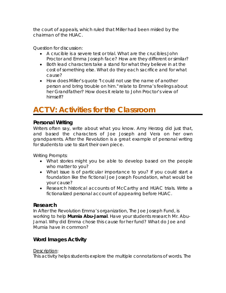the court of appeals, which ruled that Miller had been misled by the chairman of the HUAC.

*Question for discussion:* 

- *A crucible is a severe test or trial. What are the crucibles John Proctor and Emma Joseph face? How are they different or similar?*
- *Both lead characters take a stand for what they believe in at the cost of something else. What do they each sacrifice and for what cause?*
- *How does Miller's quote* "I could not use the name of another person and bring trouble on him." *relate to Emma's feelings about her Grandfather? How does it relate to John Proctor's view of himself?*

## **ACT V: Activities for the Classroom**

## **Personal Writing**

Writers often say, write about what you know. Amy Herzog did just that, and based the characters of Joe Joseph and Vera on her own grandparents. *After the Revolution* is a great example of personal writing for students to use to start their own piece.

*Writing Prompts:* 

- *What stories might you be able to develop based on the people who matter to you?*
- *What issue is of particular importance to you? If you could start a foundation like the fictional Joe Joseph Foundation, what would be your cause?*
- *Research historical accounts of McCarthy and HUAC trials. Write a fictionalized personal account of appearing before HUAC.*

## **Research**

In *After the Revolution* Emma's organization, The Joe Joseph Fund, is working to help **Mumia Abu-Jamal**. Have your students research Mr. Abu-Jamal. Why did Emma chose this cause for her fund? What do Joe and Mumia have in common?

## **Word Images Activity**

## Description:

This activity helps students explore the multiple connotations of words. The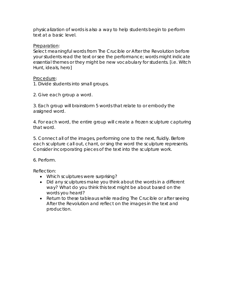physicalization of words is also a way to help students begin to perform text at a basic level.

#### Preparation:

Select meaningful words from *The Crucible* or *After the Revolution* before your students read the text or see the performance; words might indicate essential themes or they might be new vocabulary for students. [i.e. Witch Hunt, ideals, hero]

### Procedure:

1. Divide students into small groups.

2. Give each group a word.

3. Each group will brainstorm 5 words that relate to or embody the assigned word.

4. For each word, the entire group will create a frozen sculpture capturing that word.

5. Connect all of the images, performing one to the next, fluidly. Before each sculpture call out, chant, or sing the word the sculpture represents. Consider incorporating pieces of the text into the sculpture work.

6. Perform.

*Reflection:* 

- *Which sculptures were surprising?*
- *Did any sculptures make you think about the words in a different way? What do you think this text might be about based on the words you heard?*
- *Return to these tableaus while reading The Crucible or after seeing After the Revolution and reflect on the images in the text and production.*